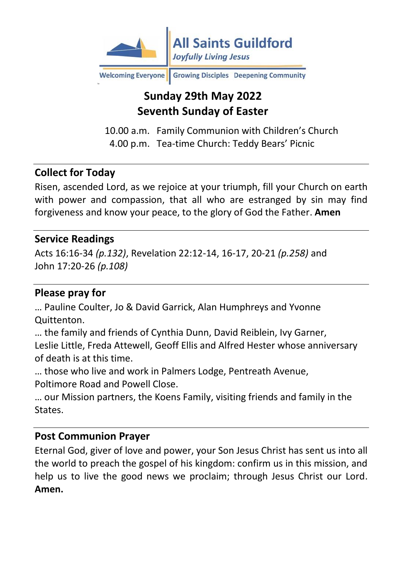

Welcoming Everyone Growing Disciples Deepening Community

# **Sunday 29th May 2022 Seventh Sunday of Easter**

10.00 a.m. Family Communion with Children's Church 4.00 p.m. Tea-time Church: Teddy Bears' Picnic

### **Collect for Today**

Risen, ascended Lord, as we rejoice at your triumph, fill your Church on earth with power and compassion, that all who are estranged by sin may find forgiveness and know your peace, to the glory of God the Father. **Amen**

#### **Service Readings**

Acts 16:16-34 *(p.132)*, Revelation 22:12-14, 16-17, 20-21 *(p.258)* and John 17:20-26 *(p.108)*

#### **Please pray for**

… Pauline Coulter, Jo & David Garrick, Alan Humphreys and Yvonne Quittenton.

… the family and friends of Cynthia Dunn, David Reiblein, Ivy Garner, Leslie Little, Freda Attewell, Geoff Ellis and Alfred Hester whose anniversary of death is at this time.

… those who live and work in Palmers Lodge, Pentreath Avenue, Poltimore Road and Powell Close.

… our Mission partners, the Koens Family, visiting friends and family in the States.

#### **Post Communion Prayer**

Eternal God, giver of love and power, your Son Jesus Christ has sent us into all the world to preach the gospel of his kingdom: confirm us in this mission, and help us to live the good news we proclaim; through Jesus Christ our Lord. **Amen.**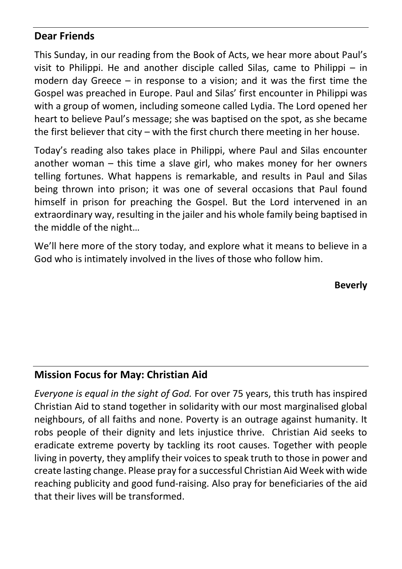### **Dear Friends**

This Sunday, in our reading from the Book of Acts, we hear more about Paul's visit to Philippi. He and another disciple called Silas, came to Philippi – in modern day Greece – in response to a vision; and it was the first time the Gospel was preached in Europe. Paul and Silas' first encounter in Philippi was with a group of women, including someone called Lydia. The Lord opened her heart to believe Paul's message; she was baptised on the spot, as she became the first believer that city – with the first church there meeting in her house.

Today's reading also takes place in Philippi, where Paul and Silas encounter another woman – this time a slave girl, who makes money for her owners telling fortunes. What happens is remarkable, and results in Paul and Silas being thrown into prison; it was one of several occasions that Paul found himself in prison for preaching the Gospel. But the Lord intervened in an extraordinary way, resulting in the jailer and his whole family being baptised in the middle of the night…

We'll here more of the story today, and explore what it means to believe in a God who is intimately involved in the lives of those who follow him.

**Beverly**

#### **Mission Focus for May: Christian Aid**

*Everyone is equal in the sight of God.* For over 75 years, this truth has inspired Christian Aid to stand together in solidarity with our most marginalised global neighbours, of all faiths and none. Poverty is an outrage against humanity. It robs people of their dignity and lets injustice thrive. Christian Aid seeks to eradicate extreme poverty by tackling its root causes. Together with people living in poverty, they amplify their voices to speak truth to those in power and create lasting change. Please pray for a successful Christian Aid Week with wide reaching publicity and good fund-raising. Also pray for beneficiaries of the aid that their lives will be transformed.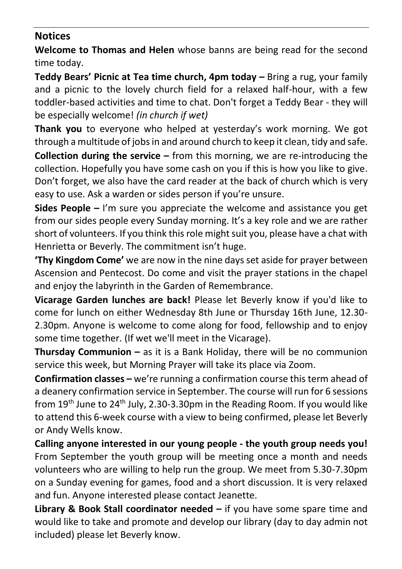### **Notices**

**Welcome to Thomas and Helen** whose banns are being read for the second time today.

**Teddy Bears' Picnic at Tea time church, 4pm today –** Bring a rug, your family and a picnic to the lovely church field for a relaxed half-hour, with a few toddler-based activities and time to chat. Don't forget a Teddy Bear - they will be especially welcome! *(in church if wet)*

**Thank you** to everyone who helped at yesterday's work morning. We got through a multitude of jobs in and around church to keep it clean, tidy and safe.

**Collection during the service –** from this morning, we are re-introducing the collection. Hopefully you have some cash on you if this is how you like to give. Don't forget, we also have the card reader at the back of church which is very easy to use. Ask a warden or sides person if you're unsure.

**Sides People –** I'm sure you appreciate the welcome and assistance you get from our sides people every Sunday morning. It's a key role and we are rather short of volunteers. If you think this role might suit you, please have a chat with Henrietta or Beverly. The commitment isn't huge.

**'Thy Kingdom Come'** we are now in the nine days set aside for prayer between Ascension and Pentecost. Do come and visit the prayer stations in the chapel and enjoy the labyrinth in the Garden of Remembrance.

**Vicarage Garden lunches are back!** Please let Beverly know if you'd like to come for lunch on either Wednesday 8th June or Thursday 16th June, 12.30- 2.30pm. Anyone is welcome to come along for food, fellowship and to enjoy some time together. (If wet we'll meet in the Vicarage).

**Thursday Communion –** as it is a Bank Holiday, there will be no communion service this week, but Morning Prayer will take its place via Zoom.

**Confirmation classes –** we're running a confirmation course this term ahead of a deanery confirmation service in September. The course will run for 6 sessions from  $19<sup>th</sup>$  June to 24<sup>th</sup> July, 2.30-3.30pm in the Reading Room. If you would like to attend this 6-week course with a view to being confirmed, please let Beverly or Andy Wells know.

**Calling anyone interested in our young people - the youth group needs you!** From September the youth group will be meeting once a month and needs volunteers who are willing to help run the group. We meet from 5.30-7.30pm on a Sunday evening for games, food and a short discussion. It is very relaxed and fun. Anyone interested please contact Jeanette.

**Library & Book Stall coordinator needed –** if you have some spare time and would like to take and promote and develop our library (day to day admin not included) please let Beverly know.